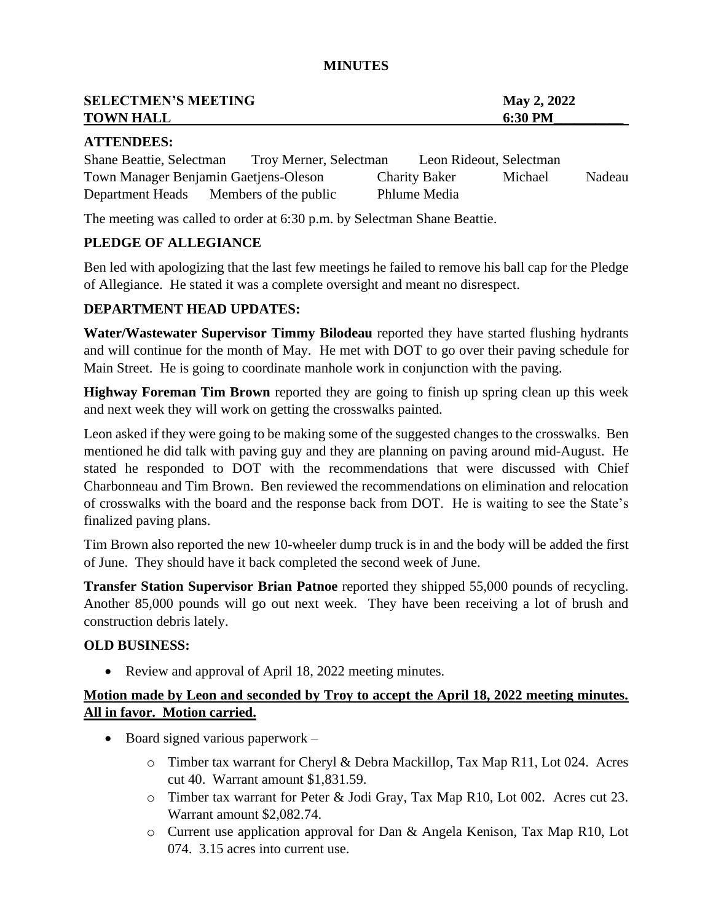#### **MINUTES**

| <b>SELECTMEN'S MEETING</b> | May 2, 2022 |
|----------------------------|-------------|
| <b>TOWN HALL</b>           | 6:30 PM     |

#### **ATTENDEES:**

Shane Beattie, Selectman Troy Merner, Selectman Leon Rideout, Selectman Town Manager Benjamin Gaetjens-Oleson Charity Baker Michael Nadeau Department Heads Members of the public Phlume Media

The meeting was called to order at 6:30 p.m. by Selectman Shane Beattie.

# **PLEDGE OF ALLEGIANCE**

Ben led with apologizing that the last few meetings he failed to remove his ball cap for the Pledge of Allegiance. He stated it was a complete oversight and meant no disrespect.

### **DEPARTMENT HEAD UPDATES:**

**Water/Wastewater Supervisor Timmy Bilodeau** reported they have started flushing hydrants and will continue for the month of May. He met with DOT to go over their paving schedule for Main Street. He is going to coordinate manhole work in conjunction with the paving.

**Highway Foreman Tim Brown** reported they are going to finish up spring clean up this week and next week they will work on getting the crosswalks painted.

Leon asked if they were going to be making some of the suggested changes to the crosswalks. Ben mentioned he did talk with paving guy and they are planning on paving around mid-August. He stated he responded to DOT with the recommendations that were discussed with Chief Charbonneau and Tim Brown. Ben reviewed the recommendations on elimination and relocation of crosswalks with the board and the response back from DOT. He is waiting to see the State's finalized paving plans.

Tim Brown also reported the new 10-wheeler dump truck is in and the body will be added the first of June. They should have it back completed the second week of June.

**Transfer Station Supervisor Brian Patnoe** reported they shipped 55,000 pounds of recycling. Another 85,000 pounds will go out next week. They have been receiving a lot of brush and construction debris lately.

#### **OLD BUSINESS:**

• Review and approval of April 18, 2022 meeting minutes.

# **Motion made by Leon and seconded by Troy to accept the April 18, 2022 meeting minutes. All in favor. Motion carried.**

- Board signed various paperwork
	- o Timber tax warrant for Cheryl & Debra Mackillop, Tax Map R11, Lot 024. Acres cut 40. Warrant amount \$1,831.59.
	- o Timber tax warrant for Peter & Jodi Gray, Tax Map R10, Lot 002. Acres cut 23. Warrant amount \$2,082.74.
	- o Current use application approval for Dan & Angela Kenison, Tax Map R10, Lot 074. 3.15 acres into current use.